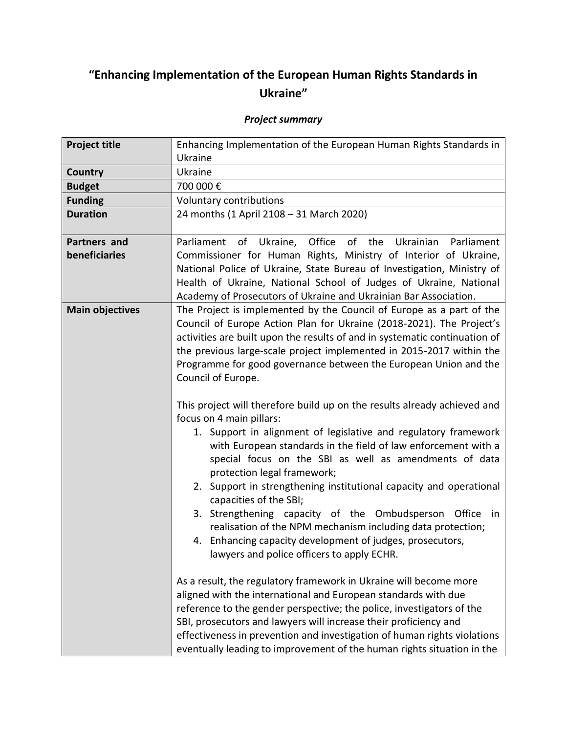## **"Enhancing Implementation of the European Human Rights Standards in Ukraine"**

## *Project summary*

| Enhancing Implementation of the European Human Rights Standards in<br>Ukraine                                                                                                                                                                                                                                                                                                                                                                                                                                                                                                                                                                                                                                                                                                                                                                                                                                                                                                                                                                                                                                           |
|-------------------------------------------------------------------------------------------------------------------------------------------------------------------------------------------------------------------------------------------------------------------------------------------------------------------------------------------------------------------------------------------------------------------------------------------------------------------------------------------------------------------------------------------------------------------------------------------------------------------------------------------------------------------------------------------------------------------------------------------------------------------------------------------------------------------------------------------------------------------------------------------------------------------------------------------------------------------------------------------------------------------------------------------------------------------------------------------------------------------------|
| Ukraine                                                                                                                                                                                                                                                                                                                                                                                                                                                                                                                                                                                                                                                                                                                                                                                                                                                                                                                                                                                                                                                                                                                 |
| 700 000€                                                                                                                                                                                                                                                                                                                                                                                                                                                                                                                                                                                                                                                                                                                                                                                                                                                                                                                                                                                                                                                                                                                |
| Voluntary contributions                                                                                                                                                                                                                                                                                                                                                                                                                                                                                                                                                                                                                                                                                                                                                                                                                                                                                                                                                                                                                                                                                                 |
| 24 months (1 April 2108 - 31 March 2020)                                                                                                                                                                                                                                                                                                                                                                                                                                                                                                                                                                                                                                                                                                                                                                                                                                                                                                                                                                                                                                                                                |
| Office<br>of<br>Ukrainian<br>Parliament<br>of Ukraine,<br>the<br>Parliament                                                                                                                                                                                                                                                                                                                                                                                                                                                                                                                                                                                                                                                                                                                                                                                                                                                                                                                                                                                                                                             |
| Commissioner for Human Rights, Ministry of Interior of Ukraine,                                                                                                                                                                                                                                                                                                                                                                                                                                                                                                                                                                                                                                                                                                                                                                                                                                                                                                                                                                                                                                                         |
| National Police of Ukraine, State Bureau of Investigation, Ministry of                                                                                                                                                                                                                                                                                                                                                                                                                                                                                                                                                                                                                                                                                                                                                                                                                                                                                                                                                                                                                                                  |
| Health of Ukraine, National School of Judges of Ukraine, National                                                                                                                                                                                                                                                                                                                                                                                                                                                                                                                                                                                                                                                                                                                                                                                                                                                                                                                                                                                                                                                       |
| Academy of Prosecutors of Ukraine and Ukrainian Bar Association.                                                                                                                                                                                                                                                                                                                                                                                                                                                                                                                                                                                                                                                                                                                                                                                                                                                                                                                                                                                                                                                        |
| The Project is implemented by the Council of Europe as a part of the<br>Council of Europe Action Plan for Ukraine (2018-2021). The Project's<br>activities are built upon the results of and in systematic continuation of<br>the previous large-scale project implemented in 2015-2017 within the<br>Programme for good governance between the European Union and the<br>Council of Europe.                                                                                                                                                                                                                                                                                                                                                                                                                                                                                                                                                                                                                                                                                                                            |
| This project will therefore build up on the results already achieved and<br>focus on 4 main pillars:<br>1. Support in alignment of legislative and regulatory framework<br>with European standards in the field of law enforcement with a<br>special focus on the SBI as well as amendments of data<br>protection legal framework;<br>2. Support in strengthening institutional capacity and operational<br>capacities of the SBI;<br>3. Strengthening capacity of the Ombudsperson<br>Office<br>in<br>realisation of the NPM mechanism including data protection;<br>4. Enhancing capacity development of judges, prosecutors,<br>lawyers and police officers to apply ECHR.<br>As a result, the regulatory framework in Ukraine will become more<br>aligned with the international and European standards with due<br>reference to the gender perspective; the police, investigators of the<br>SBI, prosecutors and lawyers will increase their proficiency and<br>effectiveness in prevention and investigation of human rights violations<br>eventually leading to improvement of the human rights situation in the |
|                                                                                                                                                                                                                                                                                                                                                                                                                                                                                                                                                                                                                                                                                                                                                                                                                                                                                                                                                                                                                                                                                                                         |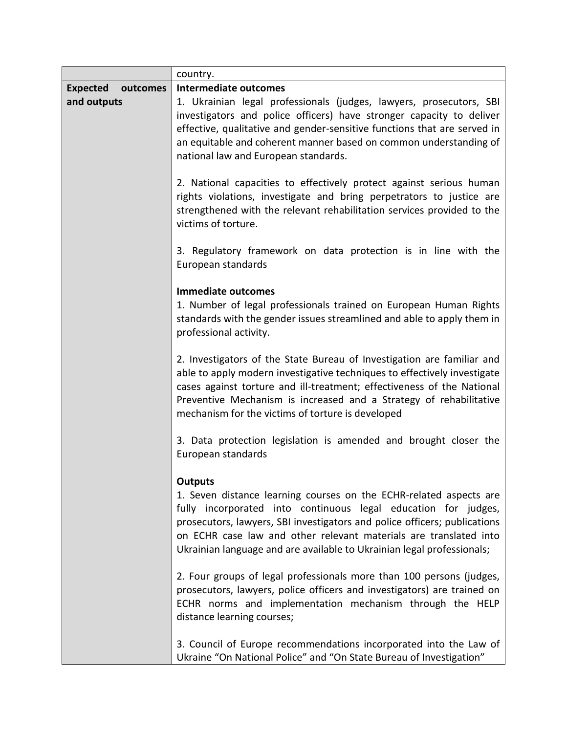|                             | country.                                                                                                                                                                                                                                                                                                                                                                           |
|-----------------------------|------------------------------------------------------------------------------------------------------------------------------------------------------------------------------------------------------------------------------------------------------------------------------------------------------------------------------------------------------------------------------------|
| <b>Expected</b><br>outcomes | Intermediate outcomes                                                                                                                                                                                                                                                                                                                                                              |
| and outputs                 | 1. Ukrainian legal professionals (judges, lawyers, prosecutors, SBI<br>investigators and police officers) have stronger capacity to deliver<br>effective, qualitative and gender-sensitive functions that are served in<br>an equitable and coherent manner based on common understanding of<br>national law and European standards.                                               |
|                             | 2. National capacities to effectively protect against serious human<br>rights violations, investigate and bring perpetrators to justice are<br>strengthened with the relevant rehabilitation services provided to the<br>victims of torture.                                                                                                                                       |
|                             | 3. Regulatory framework on data protection is in line with the<br>European standards                                                                                                                                                                                                                                                                                               |
|                             | Immediate outcomes                                                                                                                                                                                                                                                                                                                                                                 |
|                             | 1. Number of legal professionals trained on European Human Rights<br>standards with the gender issues streamlined and able to apply them in<br>professional activity.                                                                                                                                                                                                              |
|                             | 2. Investigators of the State Bureau of Investigation are familiar and<br>able to apply modern investigative techniques to effectively investigate<br>cases against torture and ill-treatment; effectiveness of the National<br>Preventive Mechanism is increased and a Strategy of rehabilitative<br>mechanism for the victims of torture is developed                            |
|                             | 3. Data protection legislation is amended and brought closer the<br>European standards                                                                                                                                                                                                                                                                                             |
|                             | <b>Outputs</b><br>1. Seven distance learning courses on the ECHR-related aspects are<br>fully incorporated into continuous legal education for judges,<br>prosecutors, lawyers, SBI investigators and police officers; publications<br>on ECHR case law and other relevant materials are translated into<br>Ukrainian language and are available to Ukrainian legal professionals; |
|                             | 2. Four groups of legal professionals more than 100 persons (judges,<br>prosecutors, lawyers, police officers and investigators) are trained on<br>ECHR norms and implementation mechanism through the HELP<br>distance learning courses;                                                                                                                                          |
|                             | 3. Council of Europe recommendations incorporated into the Law of<br>Ukraine "On National Police" and "On State Bureau of Investigation"                                                                                                                                                                                                                                           |